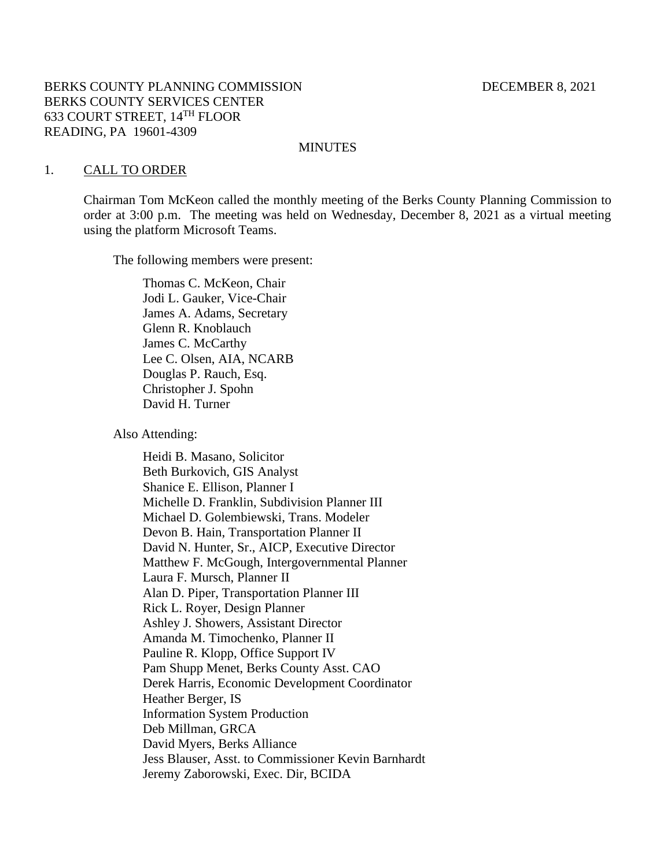## BERKS COUNTY PLANNING COMMISSION DECEMBER 8, 2021 BERKS COUNTY SERVICES CENTER 633 COURT STREET, 14TH FLOOR READING, PA 19601-4309

#### MINUTES

#### 1. CALL TO ORDER

Chairman Tom McKeon called the monthly meeting of the Berks County Planning Commission to order at 3:00 p.m. The meeting was held on Wednesday, December 8, 2021 as a virtual meeting using the platform Microsoft Teams.

The following members were present:

Thomas C. McKeon, Chair Jodi L. Gauker, Vice-Chair James A. Adams, Secretary Glenn R. Knoblauch James C. McCarthy Lee C. Olsen, AIA, NCARB Douglas P. Rauch, Esq. Christopher J. Spohn David H. Turner

Also Attending:

Heidi B. Masano, Solicitor Beth Burkovich, GIS Analyst Shanice E. Ellison, Planner I Michelle D. Franklin, Subdivision Planner III Michael D. Golembiewski, Trans. Modeler Devon B. Hain, Transportation Planner II David N. Hunter, Sr., AICP, Executive Director Matthew F. McGough, Intergovernmental Planner Laura F. Mursch, Planner II Alan D. Piper, Transportation Planner III Rick L. Royer, Design Planner Ashley J. Showers, Assistant Director Amanda M. Timochenko, Planner II Pauline R. Klopp, Office Support IV Pam Shupp Menet, Berks County Asst. CAO Derek Harris, Economic Development Coordinator Heather Berger, IS Information System Production Deb Millman, GRCA David Myers, Berks Alliance Jess Blauser, Asst. to Commissioner Kevin Barnhardt Jeremy Zaborowski, Exec. Dir, BCIDA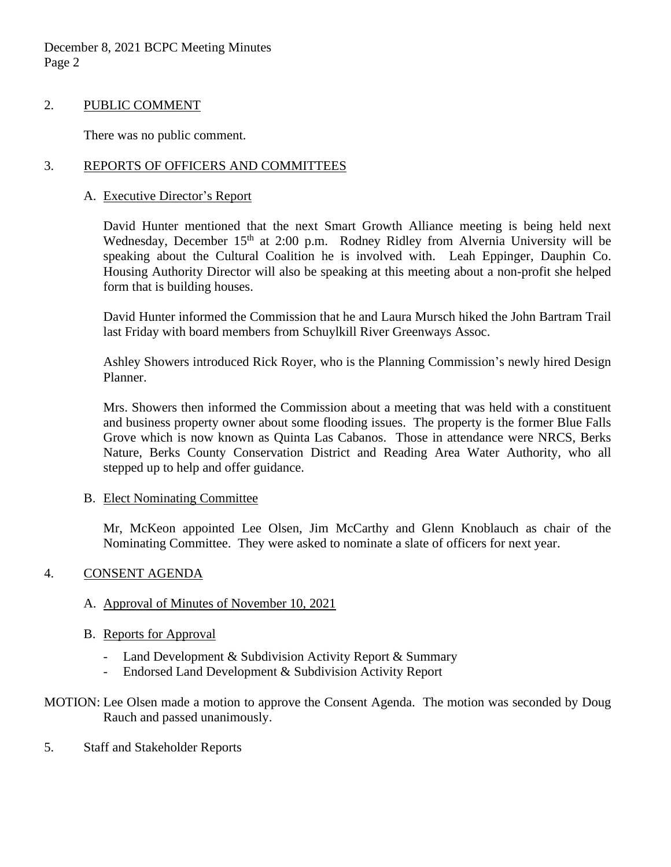December 8, 2021 BCPC Meeting Minutes Page 2

## 2. PUBLIC COMMENT

There was no public comment.

# 3. REPORTS OF OFFICERS AND COMMITTEES

# A. Executive Director's Report

David Hunter mentioned that the next Smart Growth Alliance meeting is being held next Wednesday, December  $15<sup>th</sup>$  at 2:00 p.m. Rodney Ridley from Alvernia University will be speaking about the Cultural Coalition he is involved with. Leah Eppinger, Dauphin Co. Housing Authority Director will also be speaking at this meeting about a non-profit she helped form that is building houses.

David Hunter informed the Commission that he and Laura Mursch hiked the John Bartram Trail last Friday with board members from Schuylkill River Greenways Assoc.

Ashley Showers introduced Rick Royer, who is the Planning Commission's newly hired Design Planner.

Mrs. Showers then informed the Commission about a meeting that was held with a constituent and business property owner about some flooding issues. The property is the former Blue Falls Grove which is now known as Quinta Las Cabanos. Those in attendance were NRCS, Berks Nature, Berks County Conservation District and Reading Area Water Authority, who all stepped up to help and offer guidance.

#### B. Elect Nominating Committee

Mr, McKeon appointed Lee Olsen, Jim McCarthy and Glenn Knoblauch as chair of the Nominating Committee. They were asked to nominate a slate of officers for next year.

# 4. CONSENT AGENDA

# A. Approval of Minutes of November 10, 2021

#### B. Reports for Approval

- Land Development & Subdivision Activity Report & Summary
- Endorsed Land Development & Subdivision Activity Report
- MOTION: Lee Olsen made a motion to approve the Consent Agenda. The motion was seconded by Doug Rauch and passed unanimously.
- 5. Staff and Stakeholder Reports